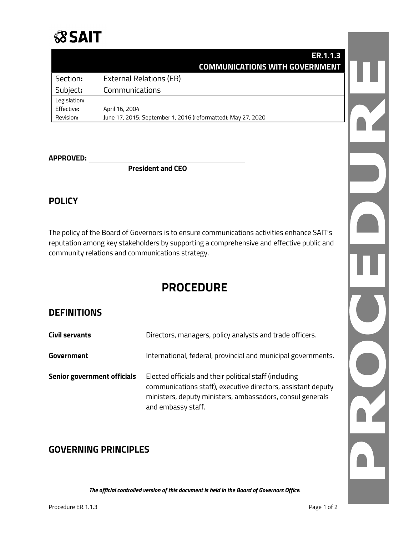## **SSAIT**

|              | <b>ER.1.1.3</b>                                              |  |
|--------------|--------------------------------------------------------------|--|
|              | <b>COMMUNICATIONS WITH GOVERNMENT</b>                        |  |
| Section:     | <b>External Relations (ER)</b>                               |  |
| Subject:     | Communications                                               |  |
| Legislation: |                                                              |  |
| Effective:   | April 16, 2004                                               |  |
| Revision:    | June 17, 2015; September 1, 2016 (reformatted); May 27, 2020 |  |

#### **APPROVED:**

**President and CEO**

#### **POLICY**

The policy of the Board of Governors is to ensure communications activities enhance SAIT's reputation among key stakeholders by supporting a comprehensive and effective public and community relations and communications strategy.

### **PROCEDURE**

#### **DEFINITIONS**

| <b>Civil servants</b>              | Directors, managers, policy analysts and trade officers.                                                                                                                                                  |
|------------------------------------|-----------------------------------------------------------------------------------------------------------------------------------------------------------------------------------------------------------|
| Government                         | International, federal, provincial and municipal governments.                                                                                                                                             |
| <b>Senior government officials</b> | Elected officials and their political staff (including<br>communications staff), executive directors, assistant deputy<br>ministers, deputy ministers, ambassadors, consul generals<br>and embassy staff. |

#### **GOVERNING PRINCIPLES**

*The official controlled version of this document is held in the Board of Governors Office.*

Procedure ER.1.1.3 Procedure ER.1.1.3